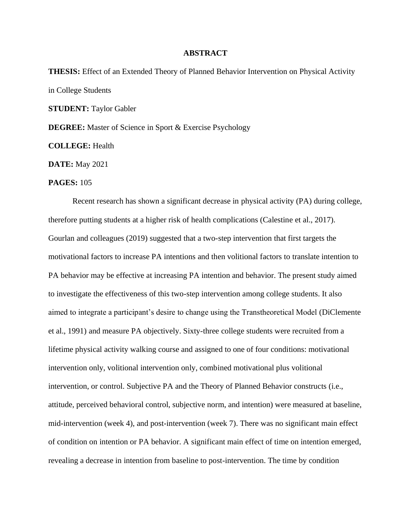## **ABSTRACT**

**THESIS:** Effect of an Extended Theory of Planned Behavior Intervention on Physical Activity in College Students **STUDENT:** Taylor Gabler **DEGREE:** Master of Science in Sport & Exercise Psychology **COLLEGE:** Health **DATE:** May 2021

## **PAGES:** 105

Recent research has shown a significant decrease in physical activity (PA) during college, therefore putting students at a higher risk of health complications (Calestine et al., 2017). Gourlan and colleagues (2019) suggested that a two-step intervention that first targets the motivational factors to increase PA intentions and then volitional factors to translate intention to PA behavior may be effective at increasing PA intention and behavior. The present study aimed to investigate the effectiveness of this two-step intervention among college students. It also aimed to integrate a participant's desire to change using the Transtheoretical Model (DiClemente et al., 1991) and measure PA objectively. Sixty-three college students were recruited from a lifetime physical activity walking course and assigned to one of four conditions: motivational intervention only, volitional intervention only, combined motivational plus volitional intervention, or control. Subjective PA and the Theory of Planned Behavior constructs (i.e., attitude, perceived behavioral control, subjective norm, and intention) were measured at baseline, mid-intervention (week 4), and post-intervention (week 7). There was no significant main effect of condition on intention or PA behavior. A significant main effect of time on intention emerged, revealing a decrease in intention from baseline to post-intervention. The time by condition